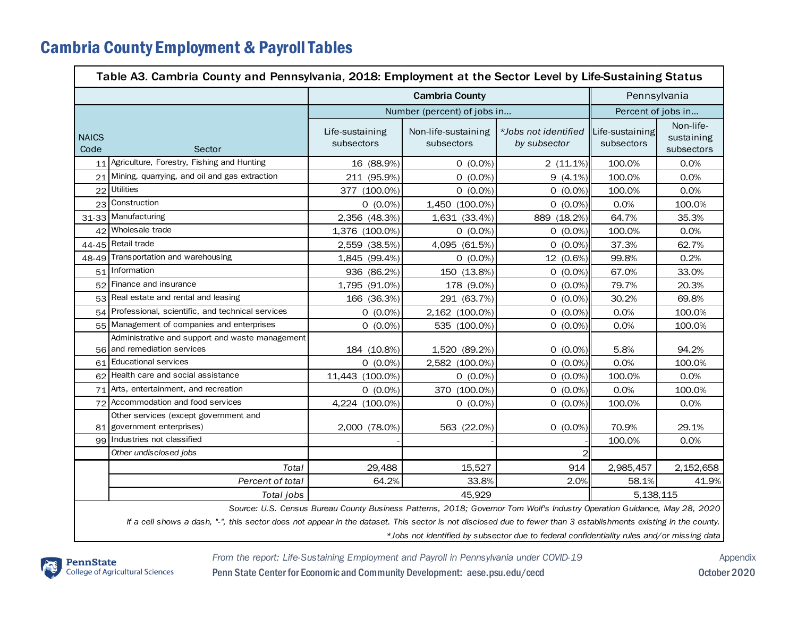## Cambria County Employment & Payroll Tables

| Table A3. Cambria County and Pennsylvania, 2018: Employment at the Sector Level by Life-Sustaining Status                                                                                                                                                      |                                                                                |                               |                                   |                                                                                                                          |                               |                                       |  |  |  |  |
|----------------------------------------------------------------------------------------------------------------------------------------------------------------------------------------------------------------------------------------------------------------|--------------------------------------------------------------------------------|-------------------------------|-----------------------------------|--------------------------------------------------------------------------------------------------------------------------|-------------------------------|---------------------------------------|--|--|--|--|
|                                                                                                                                                                                                                                                                |                                                                                | <b>Cambria County</b>         |                                   |                                                                                                                          | Pennsylvania                  |                                       |  |  |  |  |
|                                                                                                                                                                                                                                                                |                                                                                | Number (percent) of jobs in   |                                   |                                                                                                                          | Percent of jobs in            |                                       |  |  |  |  |
| <b>NAICS</b><br>Code                                                                                                                                                                                                                                           | Sector                                                                         | Life-sustaining<br>subsectors | Non-life-sustaining<br>subsectors | *Jobs not identified<br>by subsector                                                                                     | Life-sustaining<br>subsectors | Non-life-<br>sustaining<br>subsectors |  |  |  |  |
|                                                                                                                                                                                                                                                                | 11 Agriculture, Forestry, Fishing and Hunting                                  | 16 (88.9%)                    | $0(0.0\%)$                        | $2(11.1\%)$                                                                                                              | 100.0%                        | 0.0%                                  |  |  |  |  |
| 21                                                                                                                                                                                                                                                             | Mining, quarrying, and oil and gas extraction                                  | 211 (95.9%)                   | $0(0.0\%)$                        | $9(4.1\%)$                                                                                                               | 100.0%                        | 0.0%                                  |  |  |  |  |
| 22                                                                                                                                                                                                                                                             | <b>Utilities</b>                                                               | 377 (100.0%)                  | $0(0.0\%)$                        | $0(0.0\%)$                                                                                                               | 100.0%                        | 0.0%                                  |  |  |  |  |
|                                                                                                                                                                                                                                                                | 23 Construction                                                                | $0(0.0\%)$                    | 1,450 (100.0%)                    | $0(0.0\%)$                                                                                                               | 0.0%                          | 100.0%                                |  |  |  |  |
|                                                                                                                                                                                                                                                                | 31-33 Manufacturing                                                            | 2,356 (48.3%)                 | 1,631 (33.4%)                     | 889 (18.2%)                                                                                                              | 64.7%                         | 35.3%                                 |  |  |  |  |
|                                                                                                                                                                                                                                                                | 42 Wholesale trade                                                             | 1,376 (100.0%)                | $0(0.0\%)$                        | $0(0.0\%)$                                                                                                               | 100.0%                        | 0.0%                                  |  |  |  |  |
|                                                                                                                                                                                                                                                                | 44-45 Retail trade                                                             | 2,559 (38.5%)                 | 4,095 (61.5%)                     | $0(0.0\%)$                                                                                                               | 37.3%                         | 62.7%                                 |  |  |  |  |
|                                                                                                                                                                                                                                                                | 48-49 Transportation and warehousing                                           | 1,845 (99.4%)                 | $0(0.0\%)$                        | 12 (0.6%)                                                                                                                | 99.8%                         | 0.2%                                  |  |  |  |  |
|                                                                                                                                                                                                                                                                | 51 Information                                                                 | 936 (86.2%)                   | 150 (13.8%)                       | $0(0.0\%)$                                                                                                               | 67.0%                         | 33.0%                                 |  |  |  |  |
| 52                                                                                                                                                                                                                                                             | Finance and insurance                                                          | 1,795 (91.0%)                 | 178 (9.0%)                        | $0(0.0\%)$                                                                                                               | 79.7%                         | 20.3%                                 |  |  |  |  |
| 53 <sub>1</sub>                                                                                                                                                                                                                                                | Real estate and rental and leasing                                             | 166 (36.3%)                   | 291 (63.7%)                       | $0(0.0\%)$                                                                                                               | 30.2%                         | 69.8%                                 |  |  |  |  |
|                                                                                                                                                                                                                                                                | 54 Professional, scientific, and technical services                            | $0(0.0\%)$                    | 2,162 (100.0%)                    | $0(0.0\%)$                                                                                                               | 0.0%                          | 100.0%                                |  |  |  |  |
|                                                                                                                                                                                                                                                                | 55 Management of companies and enterprises                                     | $0(0.0\%)$                    | 535 (100.0%)                      | $0(0.0\%)$                                                                                                               | 0.0%                          | 100.0%                                |  |  |  |  |
|                                                                                                                                                                                                                                                                | Administrative and support and waste management<br>56 and remediation services | 184 (10.8%)                   | 1,520 (89.2%)                     | $0(0.0\%)$                                                                                                               | 5.8%                          | 94.2%                                 |  |  |  |  |
|                                                                                                                                                                                                                                                                | 61 Educational services                                                        | $0(0.0\%)$                    | 2,582 (100.0%)                    | $0(0.0\%)$                                                                                                               | 0.0%                          | 100.0%                                |  |  |  |  |
|                                                                                                                                                                                                                                                                | 62 Health care and social assistance                                           | 11,443 (100.0%)               | $0(0.0\%)$                        | $0(0.0\%)$                                                                                                               | 100.0%                        | 0.0%                                  |  |  |  |  |
|                                                                                                                                                                                                                                                                | 71 Arts, entertainment, and recreation                                         | $0(0.0\%)$                    | 370 (100.0%)                      | $0(0.0\%)$                                                                                                               | 0.0%                          | 100.0%                                |  |  |  |  |
|                                                                                                                                                                                                                                                                | 72 Accommodation and food services                                             | 4,224 (100.0%)                | $0(0.0\%)$                        | $0(0.0\%)$                                                                                                               | 100.0%                        | 0.0%                                  |  |  |  |  |
|                                                                                                                                                                                                                                                                | Other services (except government and<br>81 government enterprises)            | 2,000 (78.0%)                 | 563 (22.0%)                       | $0(0.0\%)$                                                                                                               | 70.9%                         | 29.1%                                 |  |  |  |  |
|                                                                                                                                                                                                                                                                | 99 Industries not classified                                                   |                               |                                   |                                                                                                                          | 100.0%                        | 0.0%                                  |  |  |  |  |
|                                                                                                                                                                                                                                                                | Other undisclosed jobs                                                         |                               |                                   | ς                                                                                                                        |                               |                                       |  |  |  |  |
|                                                                                                                                                                                                                                                                | Total                                                                          | 29,488                        | 15,527                            | 914                                                                                                                      | 2,985,457                     | 2,152,658                             |  |  |  |  |
|                                                                                                                                                                                                                                                                | Percent of total                                                               | 64.2%                         | 33.8%                             | 2.0%                                                                                                                     | 58.1%                         | 41.9%                                 |  |  |  |  |
|                                                                                                                                                                                                                                                                | Total jobs                                                                     | 45,929                        |                                   |                                                                                                                          | 5, 138, 115                   |                                       |  |  |  |  |
|                                                                                                                                                                                                                                                                |                                                                                |                               |                                   | Source: U.S. Census Bureau County Business Patterns, 2018; Governor Tom Wolf's Industry Operation Guidance, May 28, 2020 |                               |                                       |  |  |  |  |
| If a cell shows a dash, "-", this sector does not appear in the dataset. This sector is not disclosed due to fewer than 3 establishments existing in the county.<br>*Jobs not identified by subsector due to federal confidentiality rules and/or missing data |                                                                                |                               |                                   |                                                                                                                          |                               |                                       |  |  |  |  |



*From the report: Life-Sustaining Employment and Payroll in Pennsylvania under COVID-19* Appendix Penn State Center for Economic and Community Development: aese.psu.edu/cecd October 2020